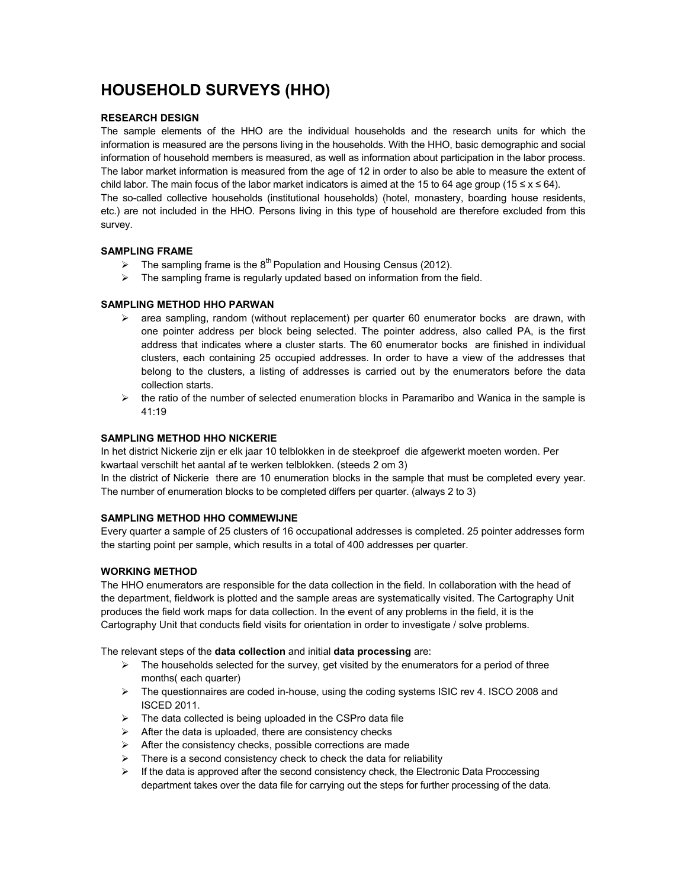# **HOUSEHOLD SURVEYS (HHO)**

# **RESEARCH DESIGN**

The sample elements of the HHO are the individual households and the research units for which the information is measured are the persons living in the households. With the HHO, basic demographic and social information of household members is measured, as well as information about participation in the labor process. The labor market information is measured from the age of 12 in order to also be able to measure the extent of child labor. The main focus of the labor market indicators is aimed at the 15 to 64 age group (15 ≤ x ≤ 64).

The so-called collective households (institutional households) (hotel, monastery, boarding house residents, etc.) are not included in the HHO. Persons living in this type of household are therefore excluded from this survey.

# **SAMPLING FRAME**

- $\triangleright$  The sampling frame is the 8<sup>th</sup> Population and Housing Census (2012).
- $\triangleright$  The sampling frame is regularly updated based on information from the field.

# **SAMPLING METHOD HHO PARWAN**

- $\triangleright$  area sampling, random (without replacement) per quarter 60 enumerator bocks are drawn, with one pointer address per block being selected. The pointer address, also called PA, is the first address that indicates where a cluster starts. The 60 enumerator bocks are finished in individual clusters, each containing 25 occupied addresses. In order to have a view of the addresses that belong to the clusters, a listing of addresses is carried out by the enumerators before the data collection starts.
- $\triangleright$  the ratio of the number of selected enumeration blocks in Paramaribo and Wanica in the sample is 41:19

# **SAMPLING METHOD HHO NICKERIE**

In het district Nickerie zijn er elk jaar 10 telblokken in de steekproef die afgewerkt moeten worden. Per kwartaal verschilt het aantal af te werken telblokken. (steeds 2 om 3)

In the district of Nickerie there are 10 enumeration blocks in the sample that must be completed every year. The number of enumeration blocks to be completed differs per quarter. (always 2 to 3)

# **SAMPLING METHOD HHO COMMEWIJNE**

Every quarter a sample of 25 clusters of 16 occupational addresses is completed. 25 pointer addresses form the starting point per sample, which results in a total of 400 addresses per quarter.

# **WORKING METHOD**

The HHO enumerators are responsible for the data collection in the field. In collaboration with the head of the department, fieldwork is plotted and the sample areas are systematically visited. The Cartography Unit produces the field work maps for data collection. In the event of any problems in the field, it is the Cartography Unit that conducts field visits for orientation in order to investigate / solve problems.

The relevant steps of the **data collection** and initial **data processing** are:

- $\triangleright$  The households selected for the survey, get visited by the enumerators for a period of three months( each quarter)
- $\triangleright$  The questionnaires are coded in-house, using the coding systems ISIC rev 4. ISCO 2008 and ISCED 2011.
- $\triangleright$  The data collected is being uploaded in the CSPro data file
- $\triangleright$  After the data is uploaded, there are consistency checks
- $\triangleright$  After the consistency checks, possible corrections are made
- $\triangleright$  There is a second consistency check to check the data for reliability
- $\triangleright$  If the data is approved after the second consistency check, the Electronic Data Proccessing department takes over the data file for carrying out the steps for further processing of the data.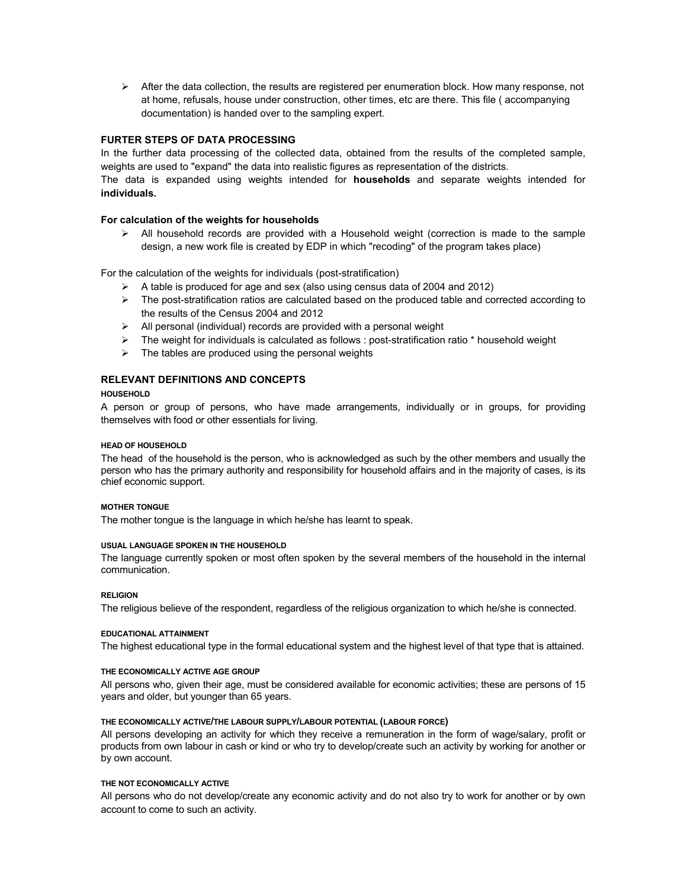$\triangleright$  After the data collection, the results are registered per enumeration block. How many response, not at home, refusals, house under construction, other times, etc are there. This file ( accompanying documentation) is handed over to the sampling expert.

# **FURTER STEPS OF DATA PROCESSING**

In the further data processing of the collected data, obtained from the results of the completed sample, weights are used to "expand" the data into realistic figures as representation of the districts. The data is expanded using weights intended for **households** and separate weights intended for

**individuals.**

# **For calculation of the weights for households**

 $\triangleright$  All household records are provided with a Household weight (correction is made to the sample design, a new work file is created by EDP in which "recoding" of the program takes place)

For the calculation of the weights for individuals (post-stratification)

- $\triangleright$  A table is produced for age and sex (also using census data of 2004 and 2012)
- $\triangleright$  The post-stratification ratios are calculated based on the produced table and corrected according to the results of the Census 2004 and 2012
- $\triangleright$  All personal (individual) records are provided with a personal weight
- $\triangleright$  The weight for individuals is calculated as follows : post-stratification ratio  $*$  household weight
- $\triangleright$  The tables are produced using the personal weights

# **RELEVANT DEFINITIONS AND CONCEPTS**

## **HOUSEHOLD**

A person or group of persons, who have made arrangements, individually or in groups, for providing themselves with food or other essentials for living.

### **HEAD OF HOUSEHOLD**

The head of the household is the person, who is acknowledged as such by the other members and usually the person who has the primary authority and responsibility for household affairs and in the majority of cases, is its chief economic support.

## **MOTHER TONGUE**

The mother tongue is the language in which he/she has learnt to speak.

## **USUAL LANGUAGE SPOKEN IN THE HOUSEHOLD**

The language currently spoken or most often spoken by the several members of the household in the internal communication.

#### **RELIGION**

The religious believe of the respondent, regardless of the religious organization to which he/she is connected.

#### **EDUCATIONAL ATTAINMENT**

The highest educational type in the formal educational system and the highest level of that type that is attained.

#### **THE ECONOMICALLY ACTIVE AGE GROUP**

All persons who, given their age, must be considered available for economic activities; these are persons of 15 years and older, but younger than 65 years.

# **THE ECONOMICALLY ACTIVE/THE LABOUR SUPPLY/LABOUR POTENTIAL (LABOUR FORCE)**

All persons developing an activity for which they receive a remuneration in the form of wage/salary, profit or products from own labour in cash or kind or who try to develop/create such an activity by working for another or by own account.

## **THE NOT ECONOMICALLY ACTIVE**

All persons who do not develop/create any economic activity and do not also try to work for another or by own account to come to such an activity.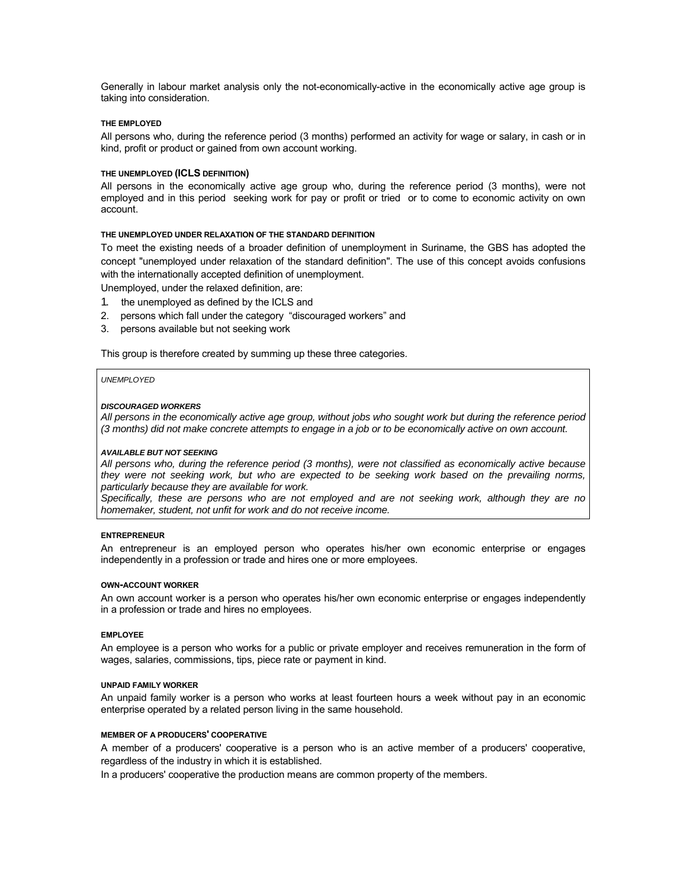Generally in labour market analysis only the not-economically-active in the economically active age group is taking into consideration.

#### **THE EMPLOYED**

All persons who, during the reference period (3 months) performed an activity for wage or salary, in cash or in kind, profit or product or gained from own account working.

## **THE UNEMPLOYED (ICLS DEFINITION)**

All persons in the economically active age group who, during the reference period (3 months), were not employed and in this period seeking work for pay or profit or tried or to come to economic activity on own account.

#### **THE UNEMPLOYED UNDER RELAXATION OF THE STANDARD DEFINITION**

To meet the existing needs of a broader definition of unemployment in Suriname, the GBS has adopted the concept "unemployed under relaxation of the standard definition". The use of this concept avoids confusions with the internationally accepted definition of unemployment.

Unemployed, under the relaxed definition, are:

- 1. the unemployed as defined by the ICLS and
- 2. persons which fall under the category "discouraged workers" and
- 3. persons available but not seeking work

This group is therefore created by summing up these three categories.

#### *UNEMPLOYED*

#### *DISCOURAGED WORKERS*

*All persons in the economically active age group, without jobs who sought work but during the reference period (3 months) did not make concrete attempts to engage in a job or to be economically active on own account.* 

#### *AVAILABLE BUT NOT SEEKING*

*All persons who, during the reference period (3 months), were not classified as economically active because they were not seeking work, but who are expected to be seeking work based on the prevailing norms, particularly because they are available for work.* 

*Specifically, these are persons who are not employed and are not seeking work, although they are no homemaker, student, not unfit for work and do not receive income.* 

#### **ENTREPRENEUR**

An entrepreneur is an employed person who operates his/her own economic enterprise or engages independently in a profession or trade and hires one or more employees.

#### **OWN-ACCOUNT WORKER**

An own account worker is a person who operates his/her own economic enterprise or engages independently in a profession or trade and hires no employees.

#### **EMPLOYEE**

An employee is a person who works for a public or private employer and receives remuneration in the form of wages, salaries, commissions, tips, piece rate or payment in kind.

## **UNPAID FAMILY WORKER**

An unpaid family worker is a person who works at least fourteen hours a week without pay in an economic enterprise operated by a related person living in the same household.

## **MEMBER OF A PRODUCERS' COOPERATIVE**

A member of a producers' cooperative is a person who is an active member of a producers' cooperative, regardless of the industry in which it is established.

In a producers' cooperative the production means are common property of the members.